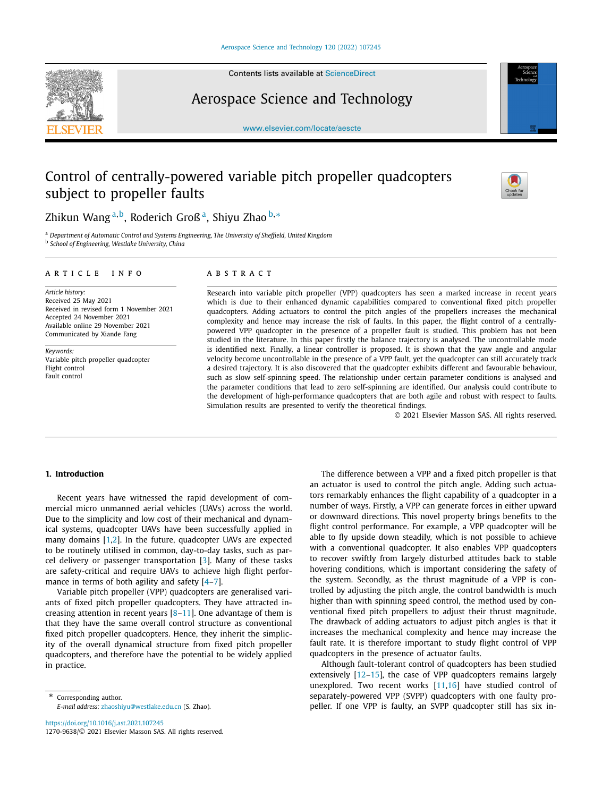

Contents lists available at [ScienceDirect](http://www.ScienceDirect.com/)

# Aerospace Science and Technology



#### [www.elsevier.com/locate/aescte](http://www.elsevier.com/locate/aescte)

# Control of centrally-powered variable pitch propeller quadcopters subject to propeller faults



# Zhikun Wang <sup>a</sup>*,*b, Roderich Groß a, Shiyu Zhao <sup>b</sup>*,*<sup>∗</sup>

<sup>a</sup> *Department of Automatic Control and Systems Engineering, The University of Sheffield, United Kingdom* <sup>b</sup> *School of Engineering, Westlake University, China*

#### A R T I C L E I N F O A B S T R A C T

*Article history:* Received 25 May 2021 Received in revised form 1 November 2021 Accepted 24 November 2021 Available online 29 November 2021 Communicated by Xiande Fang

*Keywords:* Variable pitch propeller quadcopter Flight control Fault control

Research into variable pitch propeller (VPP) quadcopters has seen a marked increase in recent years which is due to their enhanced dynamic capabilities compared to conventional fixed pitch propeller quadcopters. Adding actuators to control the pitch angles of the propellers increases the mechanical complexity and hence may increase the risk of faults. In this paper, the flight control of a centrallypowered VPP quadcopter in the presence of a propeller fault is studied. This problem has not been studied in the literature. In this paper firstly the balance trajectory is analysed. The uncontrollable mode is identified next. Finally, a linear controller is proposed. It is shown that the yaw angle and angular velocity become uncontrollable in the presence of a VPP fault, yet the quadcopter can still accurately track a desired trajectory. It is also discovered that the quadcopter exhibits different and favourable behaviour, such as slow self-spinning speed. The relationship under certain parameter conditions is analysed and the parameter conditions that lead to zero self-spinning are identified. Our analysis could contribute to the development of high-performance quadcopters that are both agile and robust with respect to faults. Simulation results are presented to verify the theoretical findings.

© 2021 Elsevier Masson SAS. All rights reserved.

### **1. Introduction**

Recent years have witnessed the rapid development of commercial micro unmanned aerial vehicles (UAVs) across the world. Due to the simplicity and low cost of their mechanical and dynamical systems, quadcopter UAVs have been successfully applied in many domains [\[1,2\]](#page-6-0). In the future, quadcopter UAVs are expected to be routinely utilised in common, day-to-day tasks, such as parcel delivery or passenger transportation  $[3]$  $[3]$ . Many of these tasks are safety-critical and require UAVs to achieve high flight performance in terms of both agility and safety  $[4-7]$  $[4-7]$  $[4-7]$ .

Variable pitch propeller (VPP) quadcopters are generalised variants of fixed pitch propeller quadcopters. They have attracted increasing attention in recent years  $[8-11]$  $[8-11]$  $[8-11]$  $[8-11]$ . One advantage of them is that they have the same overall control structure as conventional fixed pitch propeller quadcopters. Hence, they inherit the simplicity of the overall dynamical structure from fixed pitch propeller quadcopters, and therefore have the potential to be widely applied in practice.

\* Corresponding author. *E-mail address:* [zhaoshiyu@westlake.edu.cn](mailto:zhaoshiyu@westlake.edu.cn) (S. Zhao).

<https://doi.org/10.1016/j.ast.2021.107245> 1270-9638/© 2021 Elsevier Masson SAS. All rights reserved.

The difference between a VPP and a fixed pitch propeller is that an actuator is used to control the pitch angle. Adding such actuators remarkably enhances the flight capability of a quadcopter in a number of ways. Firstly, a VPP can generate forces in either upward or downward directions. This novel property brings benefits to the flight control performance. For example, a VPP quadcopter will be able to fly upside down steadily, which is not possible to achieve with a conventional quadcopter. It also enables VPP quadcopters to recover swiftly from largely disturbed attitudes back to stable hovering conditions, which is important considering the safety of the system. Secondly, as the thrust magnitude of a VPP is controlled by adjusting the pitch angle, the control bandwidth is much higher than with spinning speed control, the method used by conventional fixed pitch propellers to adjust their thrust magnitude. The drawback of adding actuators to adjust pitch angles is that it increases the mechanical complexity and hence may increase the fault rate. It is therefore important to study flight control of VPP quadcopters in the presence of actuator faults.

Although fault-tolerant control of quadcopters has been studied extensively [\[12–15\]](#page-6-0), the case of VPP quadcopters remains largely unexplored. Two recent works [[11,16\]](#page-6-0) have studied control of separately-powered VPP (SVPP) quadcopters with one faulty propeller. If one VPP is faulty, an SVPP quadcopter still has six in-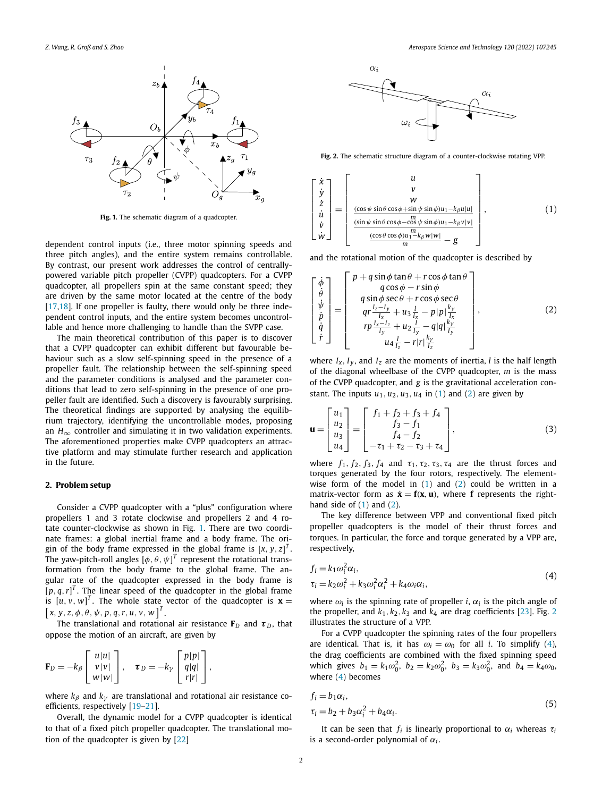<span id="page-1-0"></span>

**Fig. 1.** The schematic diagram of a quadcopter.

dependent control inputs (i.e., three motor spinning speeds and three pitch angles), and the entire system remains controllable. By contrast, our present work addresses the control of centrallypowered variable pitch propeller (CVPP) quadcopters. For a CVPP quadcopter, all propellers spin at the same constant speed; they are driven by the same motor located at the centre of the body [\[17,18\]](#page-6-0). If one propeller is faulty, there would only be three independent control inputs, and the entire system becomes uncontrollable and hence more challenging to handle than the SVPP case.

The main theoretical contribution of this paper is to discover that a CVPP quadcopter can exhibit different but favourable behaviour such as a slow self-spinning speed in the presence of a propeller fault. The relationship between the self-spinning speed and the parameter conditions is analysed and the parameter conditions that lead to zero self-spinning in the presence of one propeller fault are identified. Such a discovery is favourably surprising. The theoretical findings are supported by analysing the equilibrium trajectory, identifying the uncontrollable modes, proposing an  $H_{\infty}$  controller and simulating it in two validation experiments. The aforementioned properties make CVPP quadcopters an attractive platform and may stimulate further research and application in the future.

# **2. Problem setup**

Consider a CVPP quadcopter with a "plus" configuration where propellers 1 and 3 rotate clockwise and propellers 2 and 4 rotate counter-clockwise as shown in Fig. 1. There are two coordinate frames: a global inertial frame and a body frame. The origin of the body frame expressed in the global frame is  $\left[x, y, z\right]^T$ . The yaw-pitch-roll angles  $[\phi,\theta,\psi]^T$  represent the rotational transformation from the body frame to the global frame. The angular rate of the quadcopter expressed in the body frame is  $[p, q, r]^T$ . The linear speed of the quadcopter in the global frame is  $[u, v, w]^T$ . The whole state vector of the quadcopter is  $\mathbf{x} =$  $\left[x, y, z, \phi, \theta, \psi, p, q, r, u, v, w\right]^{T}.$ 

The translational and rotational air resistance  $\mathbf{F}_D$  and  $\boldsymbol{\tau}_D$ , that oppose the motion of an aircraft, are given by

$$
\mathbf{F}_D = -k_\beta \begin{bmatrix} u|u| \\ v|v| \\ w|w| \end{bmatrix}, \quad \boldsymbol{\tau}_D = -k_\gamma \begin{bmatrix} p|p| \\ q|q| \\ r|r| \end{bmatrix},
$$

where  $k_\beta$  and  $k_\gamma$  are translational and rotational air resistance coefficients, respectively [[19–21\]](#page-6-0).

Overall, the dynamic model for a CVPP quadcopter is identical to that of a fixed pitch propeller quadcopter. The translational motion of the quadcopter is given by [\[22\]](#page-6-0)



**Fig. 2.** The schematic structure diagram of a counter-clockwise rotating VPP.

$$
\begin{bmatrix}\n\dot{x} \\
\dot{y} \\
\dot{z} \\
\dot{u} \\
\dot{v} \\
\dot{w}\n\end{bmatrix} = \begin{bmatrix}\nu \\
v \\
w \\
\frac{\cos\psi\sin\theta\cos\phi + \sin\psi\sin\phi)u_1 - k_{\beta}u|u|}{w} \\
\frac{\frac{\sin\psi\sin\theta\cos\phi - \cos\psi\sin\phi)u_1 - k_{\beta}u|v|}{m} - g\n\end{bmatrix},
$$
\n(1)

and the rotational motion of the quadcopter is described by

$$
\begin{bmatrix}\n\dot{\phi} \\
\dot{\theta} \\
\dot{\psi} \\
\dot{p} \\
\dot{q}\n\end{bmatrix} = \begin{bmatrix}\np + q \sin \phi \tan \theta + r \cos \phi \tan \theta \\
q \cos \phi - r \sin \phi \\
q \sin \phi \sec \theta + r \cos \phi \sec \theta \\
qr \frac{I_z - I_y}{I_x} + u_3 \frac{I}{I_x} - p|p| \frac{k_y}{I_x} \\
rp \frac{I_x - I_z}{I_y} + u_2 \frac{I}{I_y} - q|q| \frac{k_y}{I_y} \\
u_4 \frac{I}{I_z} - r|r| \frac{k_y}{I_z}\n\end{bmatrix},
$$
\n(2)

where  $I_x$ ,  $I_y$ , and  $I_z$  are the moments of inertia, *l* is the half length of the diagonal wheelbase of the CVPP quadcopter, *m* is the mass of the CVPP quadcopter, and *g* is the gravitational acceleration constant. The inputs  $u_1, u_2, u_3, u_4$  in (1) and (2) are given by

$$
\mathbf{u} = \begin{bmatrix} u_1 \\ u_2 \\ u_3 \\ u_4 \end{bmatrix} = \begin{bmatrix} f_1 + f_2 + f_3 + f_4 \\ f_3 - f_1 \\ f_4 - f_2 \\ -\tau_1 + \tau_2 - \tau_3 + \tau_4 \end{bmatrix},
$$
(3)

where  $f_1$ ,  $f_2$ ,  $f_3$ ,  $f_4$  and  $\tau_1$ ,  $\tau_2$ ,  $\tau_3$ ,  $\tau_4$  are the thrust forces and torques generated by the four rotors, respectively. The elementwise form of the model in  $(1)$  and  $(2)$  could be written in a matrix-vector form as  $\dot{\mathbf{x}} = \mathbf{f}(\mathbf{x}, \mathbf{u})$ , where **f** represents the righthand side of  $(1)$  and  $(2)$ .

The key difference between VPP and conventional fixed pitch propeller quadcopters is the model of their thrust forces and torques. In particular, the force and torque generated by a VPP are, respectively,

$$
f_i = k_1 \omega_i^2 \alpha_i,
$$
  
\n
$$
\tau_i = k_2 \omega_i^2 + k_3 \omega_i^2 \alpha_i^2 + k_4 \omega_i \alpha_i,
$$
\n(4)

where  $\omega_i$  is the spinning rate of propeller *i*,  $\alpha_i$  is the pitch angle of the propeller, and  $k_1, k_2, k_3$  and  $k_4$  are drag coefficients [[23\]](#page-7-0). Fig. 2 illustrates the structure of a VPP.

For a CVPP quadcopter the spinning rates of the four propellers are identical. That is, it has  $\omega_i = \omega_0$  for all *i*. To simplify (4), the drag coefficients are combined with the fixed spinning speed which gives  $b_1 = k_1 \omega_0^2$ ,  $b_2 = k_2 \omega_0^2$ ,  $b_3 = k_3 \omega_0^2$ , and  $b_4 = k_4 \omega_0$ , where (4) becomes

$$
f_i = b_1 \alpha_i,
$$
  
\n
$$
\tau_i = b_2 + b_3 \alpha_i^2 + b_4 \alpha_i.
$$
\n(5)

It can be seen that  $f_i$  is linearly proportional to  $\alpha_i$  whereas  $\tau_i$ is a second-order polynomial of  $\alpha_i$ .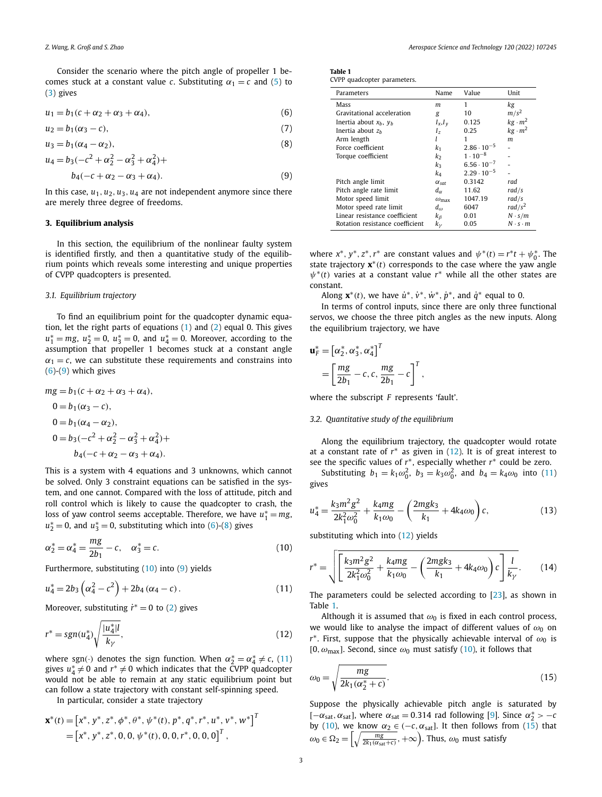<span id="page-2-0"></span>Consider the scenario where the pitch angle of propeller 1 becomes stuck at a constant value *c*. Substituting  $\alpha_1 = c$  and [\(5\)](#page-1-0) to [\(3](#page-1-0)) gives

$$
u_1 = b_1(c + \alpha_2 + \alpha_3 + \alpha_4),
$$
 (6)

$$
u_2 = b_1(\alpha_3 - c),\tag{7}
$$

$$
u_3 = b_1(\alpha_4 - \alpha_2),\tag{8}
$$

$$
u_4 = b_3(-c^2 + \alpha_2^2 - \alpha_3^2 + \alpha_4^2) +
$$
  

$$
b_4(-c + \alpha_2 - \alpha_3 + \alpha_4).
$$
 (9)

In this case,  $u_1, u_2, u_3, u_4$  are not independent anymore since there are merely three degree of freedoms.

# **3. Equilibrium analysis**

In this section, the equilibrium of the nonlinear faulty system is identified firstly, and then a quantitative study of the equilibrium points which reveals some interesting and unique properties of CVPP quadcopters is presented.

# *3.1. Equilibrium trajectory*

To find an equilibrium point for the quadcopter dynamic equation, let the right parts of equations  $(1)$  $(1)$  $(1)$  and  $(2)$  equal 0. This gives  $u_1^* = mg$ ,  $u_2^* = 0$ ,  $u_3^* = 0$ , and  $u_4^* = 0$ . Moreover, according to the assumption that propeller 1 becomes stuck at a constant angle  $\alpha_1 = c$ , we can substitute these requirements and constrains into  $(6)-(9)$  which gives

$$
mg = b_1(c + \alpha_2 + \alpha_3 + \alpha_4),
$$
  
\n
$$
0 = b_1(\alpha_3 - c),
$$
  
\n
$$
0 = b_1(\alpha_4 - \alpha_2),
$$
  
\n
$$
0 = b_3(-c^2 + \alpha_2^2 - \alpha_3^2 + \alpha_4^2) +
$$
  
\n
$$
b_4(-c + \alpha_2 - \alpha_3 + \alpha_4).
$$

This is a system with 4 equations and 3 unknowns, which cannot be solved. Only 3 constraint equations can be satisfied in the system, and one cannot. Compared with the loss of attitude, pitch and roll control which is likely to cause the quadcopter to crash, the loss of yaw control seems acceptable. Therefore, we have  $u_1^* = mg$ ,  $u_2^* = 0$ , and  $u_3^* = 0$ , substituting which into (6)-(8) gives

$$
\alpha_2^* = \alpha_4^* = \frac{mg}{2b_1} - c, \quad \alpha_3^* = c. \tag{10}
$$

Furthermore, substituting (10) into (9) yields

$$
u_4^* = 2b_3 \left( \alpha_4^2 - c^2 \right) + 2b_4 \left( \alpha_4 - c \right). \tag{11}
$$

Moreover, substituting  $\dot{r}^* = 0$  to ([2](#page-1-0)) gives

$$
r^* = sgn(u_4^*) \sqrt{\frac{|u_4^*|}{k_{\gamma}}},\tag{12}
$$

where sgn(·*)* denotes the sign function. When  $\alpha_2^* = \alpha_4^* \neq c$ , (11) gives  $u_4^* \neq 0$  and  $r^* \neq 0$  which indicates that the CVPP quadcopter would not be able to remain at any static equilibrium point but can follow a state trajectory with constant self-spinning speed.

In particular, consider a state trajectory

$$
\mathbf{x}^*(t) = [x^*, y^*, z^*, \phi^*, \theta^*, \psi^*(t), p^*, q^*, r^*, u^*, v^*, w^*]^T
$$
  
=  $[x^*, y^*, z^*, 0, 0, \psi^*(t), 0, 0, r^*, 0, 0, 0]^T$ ,

| <b>Table 1</b> |  |                             |  |
|----------------|--|-----------------------------|--|
|                |  | CVPP quadcopter parameters. |  |

| Parameters                      | Name                  | Value                | Unit                |
|---------------------------------|-----------------------|----------------------|---------------------|
| Mass                            | m                     | 1                    | kg                  |
| Gravitational acceleration      | g                     | 10                   | $m/s^2$             |
| Inertia about $x_h$ , $y_h$     | $I_x, I_y$            | 0.125                | $kg \cdot m^2$      |
| Inertia about $z_h$             | $I_z$                 | 0.25                 | $kg \cdot m^2$      |
| Arm length                      |                       | 1                    | m                   |
| Force coefficient               | k1                    | $2.86 \cdot 10^{-5}$ |                     |
| Torque coefficient              | k2                    | $1 \cdot 10^{-8}$    |                     |
|                                 | k3                    | $6.56 \cdot 10^{-7}$ |                     |
|                                 | k4                    | $2.29 \cdot 10^{-5}$ |                     |
| Pitch angle limit               | $\alpha_{\text{sat}}$ | 0.3142               | rad                 |
| Pitch angle rate limit          | $d_{\alpha}$          | 11.62                | rad/s               |
| Motor speed limit               | $\omega_{\text{max}}$ | 1047.19              | rad/s               |
| Motor speed rate limit          | $d_{\omega}$          | 6047                 | rad/ $s^2$          |
| Linear resistance coefficient   | kβ                    | 0.01                 | $N \cdot s/m$       |
| Rotation resistance coefficient | $k_{\nu}$             | 0.05                 | $N \cdot s \cdot m$ |

where  $x^*$ ,  $y^*$ ,  $z^*$ ,  $r^*$  are constant values and  $\psi^*(t) = r^*t + \psi_0^*$ . The state trajectory **x**∗*(t)* corresponds to the case where the yaw angle  $\psi^*(t)$  varies at a constant value  $r^*$  while all the other states are constant.

Along  $\mathbf{x}^*(t)$ , we have  $\dot{u}^*, \dot{v}^*, \dot{w}^*, \dot{p}^*,$  and  $\dot{q}^*$  equal to 0.

In terms of control inputs, since there are only three functional servos, we choose the three pitch angles as the new inputs. Along the equilibrium trajectory, we have

$$
\mathbf{u}_F^* = \left[\alpha_2^*, \alpha_3^*, \alpha_4^*\right]^T
$$
  
= 
$$
\left[\frac{mg}{2b_1} - c, c, \frac{mg}{2b_1} - c\right]^T,
$$

where the subscript *F* represents 'fault'.

### *3.2. Quantitative study of the equilibrium*

Along the equilibrium trajectory, the quadcopter would rotate at a constant rate of *r*∗ as given in (12). It is of great interest to see the specific values of *r*∗, especially whether *r*∗ could be zero.

Substituting  $b_1 = k_1 \omega_0^2$ ,  $b_3 = k_3 \omega_0^2$ , and  $b_4 = k_4 \omega_0$  into (11) gives

$$
u_4^* = \frac{k_3 m^2 g^2}{2k_1^2 \omega_0^2} + \frac{k_4 mg}{k_1 \omega_0} - \left(\frac{2m g k_3}{k_1} + 4k_4 \omega_0\right) c,\tag{13}
$$

substituting which into (12) yields

$$
r^* = \sqrt{\left[\frac{k_3 m^2 g^2}{2k_1^2 \omega_0^2} + \frac{k_4 m g}{k_1 \omega_0} - \left(\frac{2 m g k_3}{k_1} + 4 k_4 \omega_0\right) c\right] \frac{l}{k_\gamma}}.
$$
 (14)

The parameters could be selected according to [\[23](#page-7-0)], as shown in Table 1.

Although it is assumed that  $\omega_0$  is fixed in each control process, we would like to analyse the impact of different values of  $ω$ <sub>0</sub> on *r*∗. First, suppose that the physically achievable interval of *ω*<sup>0</sup> is [0,  $\omega_{\text{max}}$ ]. Second, since  $\omega_0$  must satisfy (10), it follows that

$$
\omega_0 = \sqrt{\frac{mg}{2k_1(\alpha_2^* + c)}}.\tag{15}
$$

Suppose the physically achievable pitch angle is saturated by  $[-\alpha_{\text{sat}}, \alpha_{\text{sat}}]$ , where  $\alpha_{\text{sat}} = 0.314$  rad following [\[9\]](#page-6-0). Since  $\alpha_2^*$  >  $-c$ by (10), we know  $\alpha_2 \in (-c, \alpha_{sat})$ . It then follows from (15) that  $\omega_0 \in \Omega_2 = \left[ \sqrt{\frac{mg}{2k_1(\alpha_{\text{sat}} + c)}} , +\infty \right)$ . Thus,  $\omega_0$  must satisfy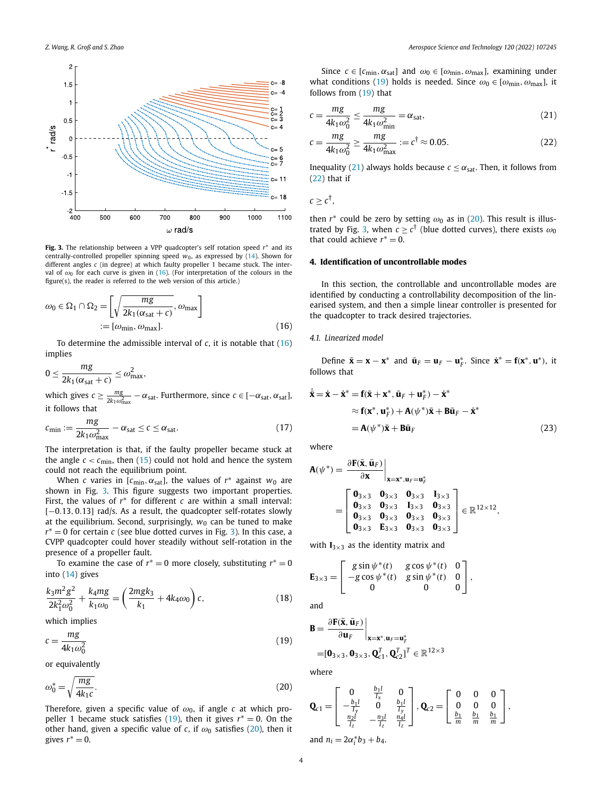<span id="page-3-0"></span>

**Fig. 3.** The relationship between a VPP quadcopter's self rotation speed *r*∗ and its centrally-controlled propeller spinning speed  $w_0$ , as expressed by [\(14\)](#page-2-0). Shown for different angles *c* (in degree) at which faulty propeller 1 became stuck. The interval of  $\omega_0$  for each curve is given in (16). (For interpretation of the colours in the figure(s), the reader is referred to the web version of this article.)

$$
\omega_0 \in \Omega_1 \cap \Omega_2 = \left[ \sqrt{\frac{mg}{2k_1(\alpha_{\text{sat}} + c)}}, \omega_{\text{max}} \right]
$$
  
 :=  $[\omega_{\text{min}}, \omega_{\text{max}}].$  (16)

To determine the admissible interval of *c*, it is notable that (16) implies

$$
0 \le \frac{mg}{2k_1(\alpha_{\text{sat}} + c)} \le \omega_{\text{max}}^2,
$$

which gives  $c \ge \frac{mg}{2k_1\omega_{\text{max}}^2} - \alpha_{\text{sat}}$ . Furthermore, since  $c \in [-\alpha_{\text{sat}}, \alpha_{\text{sat}}]$ , it follows that

$$
c_{\min} := \frac{mg}{2k_1\omega_{\max}^2} - \alpha_{\text{sat}} \le c \le \alpha_{\text{sat}}.\tag{17}
$$

The interpretation is that, if the faulty propeller became stuck at the angle  $c < c_{\text{min}}$ , then [\(15](#page-2-0)) could not hold and hence the system could not reach the equilibrium point.

When *c* varies in [ $c_{\text{min}}$ ,  $\alpha_{\text{sat}}$ ], the values of  $r^*$  against  $w_0$  are shown in Fig. 3. This figure suggests two important properties. First, the values of *r*∗ for different *c* are within a small interval: [−0*.*13*,* 0*.*13] rad/s. As a result, the quadcopter self-rotates slowly at the equilibrium. Second, surprisingly,  $w_0$  can be tuned to make *r*<sup>∗</sup> = 0 for certain *c* (see blue dotted curves in Fig. 3). In this case, a CVPP quadcopter could hover steadily without self-rotation in the presence of a propeller fault.

To examine the case of  $r<sup>*</sup> = 0$  more closely, substituting  $r<sup>*</sup> = 0$ into [\(14](#page-2-0)) gives

$$
\frac{k_3 m^2 g^2}{2k_1^2 \omega_0^2} + \frac{k_4 mg}{k_1 \omega_0} = \left(\frac{2m g k_3}{k_1} + 4k_4 \omega_0\right) c,\tag{18}
$$

which implies

$$
c = \frac{mg}{4k_1\omega_0^2} \tag{19}
$$

or equivalently

$$
\omega_0^* = \sqrt{\frac{mg}{4k_1 c}}.\tag{20}
$$

Therefore, given a specific value of  $\omega_0$ , if angle *c* at which propeller 1 became stuck satisfies (19), then it gives  $r<sup>*</sup> = 0$ . On the other hand, given a specific value of *c*, if  $\omega_0$  satisfies (20), then it gives  $r^* = 0$ .

Since  $c \in [c_{\min}, \alpha_{\text{sat}}]$  and  $\omega_0 \in [\omega_{\min}, \omega_{\max}]$ , examining under what conditions (19) holds is needed. Since  $\omega_0 \in [\omega_{\text{min}}, \omega_{\text{max}}]$ , it follows from (19) that

$$
c = \frac{mg}{4k_1\omega_0^2} \le \frac{mg}{4k_1\omega_{\text{min}}^2} = \alpha_{\text{sat}},\tag{21}
$$

$$
c = \frac{mg}{4k_1\omega_0^2} \ge \frac{mg}{4k_1\omega_{\text{max}}^2} := c^\dagger \approx 0.05. \tag{22}
$$

Inequality (21) always holds because  $c \leq \alpha_{\text{sat}}$ . Then, it follows from (22) that if

$$
c\geq c^{\dagger},
$$

then  $r^*$  could be zero by setting  $\omega_0$  as in (20). This result is illustrated by Fig. 3, when  $c \geq c^{\dagger}$  (blue dotted curves), there exists  $\omega_0$ that could achieve  $r^* = 0$ .

# **4. Identification of uncontrollable modes**

In this section, the controllable and uncontrollable modes are identified by conducting a controllability decomposition of the linearised system, and then a simple linear controller is presented for the quadcopter to track desired trajectories.

#### *4.1. Linearized model*

Define  $\bar{\mathbf{x}} = \mathbf{x} - \mathbf{x}^*$  and  $\bar{\mathbf{u}}_F = \mathbf{u}_F - \mathbf{u}_F^*$ . Since  $\dot{\mathbf{x}}^* = \mathbf{f}(\mathbf{x}^*, \mathbf{u}^*)$ , it follows that

$$
\dot{\bar{\mathbf{x}}} = \dot{\mathbf{x}} - \dot{\mathbf{x}}^* = \mathbf{f}(\bar{\mathbf{x}} + \mathbf{x}^*, \bar{\mathbf{u}}_F + \mathbf{u}_F^*) - \dot{\mathbf{x}}^*
$$
  
\n
$$
\approx \mathbf{f}(\mathbf{x}^*, \mathbf{u}_F^*) + \mathbf{A}(\psi^*)\bar{\mathbf{x}} + \mathbf{B}\bar{\mathbf{u}}_F - \dot{\mathbf{x}}^*
$$
  
\n
$$
= \mathbf{A}(\psi^*)\bar{\mathbf{x}} + \mathbf{B}\bar{\mathbf{u}}_F
$$
\n(23)

where

$$
A(\psi^*) = \frac{\partial F(\bar{x}, \bar{u}_F)}{\partial x}\Big|_{x=x^*, u_F = u_F^*}
$$
  
= 
$$
\begin{bmatrix} 0_{3\times 3} & 0_{3\times 3} & 0_{3\times 3} & I_{3\times 3} \\ 0_{3\times 3} & 0_{3\times 3} & I_{3\times 3} & 0_{3\times 3} \\ 0_{3\times 3} & 0_{3\times 3} & 0_{3\times 3} & 0_{3\times 3} \\ 0_{3\times 3} & E_{3\times 3} & 0_{3\times 3} & 0_{3\times 3} \end{bmatrix} \in \mathbb{R}^{12\times 12},
$$

with  $I_{3\times 3}$  as the identity matrix and

$$
\mathbf{E}_{3\times 3} = \begin{bmatrix} g \sin \psi^*(t) & g \cos \psi^*(t) & 0 \\ -g \cos \psi^*(t) & g \sin \psi^*(t) & 0 \\ 0 & 0 & 0 \end{bmatrix},
$$

and

$$
\mathbf{B} = \frac{\partial \mathbf{F}(\bar{\mathbf{x}}, \bar{\mathbf{u}}_F)}{\partial \mathbf{u}_F} \Big|_{\mathbf{x} = \mathbf{x}^*, \mathbf{u}_F = \mathbf{u}_F^*}
$$
  
=  $[\mathbf{0}_{3 \times 3}, \mathbf{0}_{3 \times 3}, \mathbf{Q}_{c1}^T, \mathbf{Q}_{c2}^T]^T \in \mathbb{R}^{12 \times 3}$ 

where

$$
\mathbf{Q}_{c1} = \begin{bmatrix} 0 & \frac{b_1 l}{l_x} & 0 \\ -\frac{b_1 l}{l_y} & 0 & \frac{b_1 l}{l_y} \\ \frac{n_2 l}{l_z} & -\frac{n_3 l}{l_z} & \frac{n_4 l}{l_z} \end{bmatrix}, \mathbf{Q}_{c2} = \begin{bmatrix} 0 & 0 & 0 \\ 0 & 0 & 0 \\ \frac{b_1}{m} & \frac{b_1}{m} & \frac{b_1}{m} \end{bmatrix},
$$

and  $n_i = 2\alpha_i^* b_3 + b_4$ .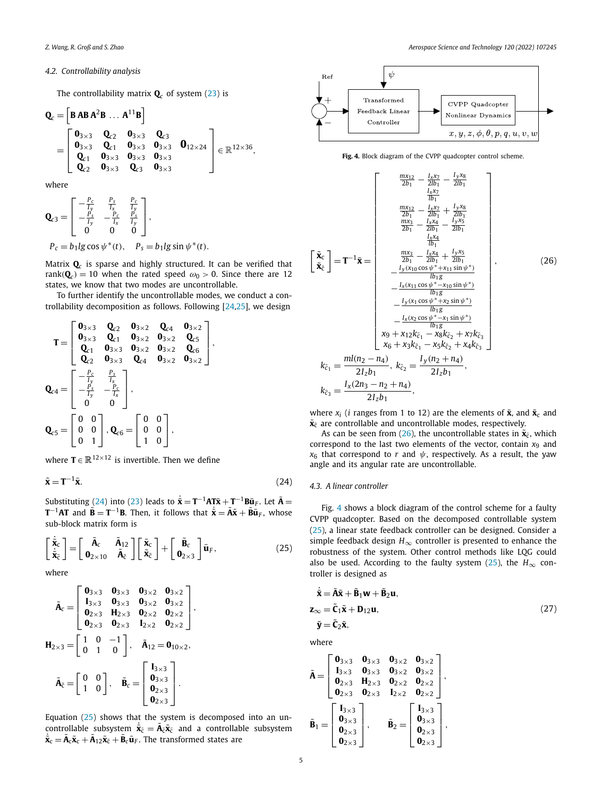# <span id="page-4-0"></span>*4.2. Controllability analysis*

The controllability matrix  $\mathbf{Q}_c$  of system ([23\)](#page-3-0) is

$$
Q_{c} = \begin{bmatrix} BABA^{2}B \dots A^{11}B \end{bmatrix}
$$
  
= 
$$
\begin{bmatrix} 0_{3\times 3} & Q_{c2} & 0_{3\times 3} & Q_{c3} & 0_{12\times 24} \\ 0_{3\times 3} & Q_{c1} & 0_{3\times 3} & 0_{3\times 3} & 0_{12\times 24} \\ Q_{c1} & 0_{3\times 3} & 0_{3\times 3} & 0_{3\times 3} \\ Q_{c2} & 0_{3\times 3} & Q_{c3} & 0_{3\times 3} & 0 \end{bmatrix} \in \mathbb{R}^{12\times 36},
$$

where

$$
\mathbf{Q}_{c3} = \begin{bmatrix} -\frac{P_c}{I_y} & \frac{P_s}{I_x} & \frac{P_c}{I_y} \\ -\frac{P_s}{I_y} & -\frac{P_c}{I_x} & \frac{P_s}{I_y} \\ 0 & 0 & 0 \end{bmatrix},
$$
  
\n
$$
P_c = b_1 \lg \cos \psi^*(t), \quad P_s = b_1 \lg \sin \psi^*(t).
$$

Matrix **Q***<sup>c</sup>* is sparse and highly structured. It can be verified that rank( $\mathbf{Q}_c$ ) = 10 when the rated speed  $\omega_0 > 0$ . Since there are 12 states, we know that two modes are uncontrollable.

To further identify the uncontrollable modes, we conduct a controllability decomposition as follows. Following  $[24,25]$  $[24,25]$  $[24,25]$  $[24,25]$  $[24,25]$ , we design

$$
T = \begin{bmatrix} 0_{3\times 3} & Q_{c2} & 0_{3\times 2} & Q_{c4} & 0_{3\times 2} \\ 0_{3\times 3} & Q_{c1} & 0_{3\times 2} & 0_{3\times 2} & Q_{c5} \\ Q_{c1} & 0_{3\times 3} & 0_{3\times 2} & 0_{3\times 2} & Q_{c6} \\ Q_{c2} & 0_{3\times 3} & Q_{c4} & 0_{3\times 2} & 0_{3\times 2} \end{bmatrix},
$$
  
\n
$$
Q_{c4} = \begin{bmatrix} -\frac{P_c}{I_y} & \frac{P_s}{I_x} \\ -\frac{P_s}{I_y} & -\frac{P_c}{I_x} \\ 0 & 0 \end{bmatrix},
$$
  
\n
$$
Q_{c5} = \begin{bmatrix} 0 & 0 \\ 0 & 0 \\ 0 & 1 \end{bmatrix}, Q_{c6} = \begin{bmatrix} 0 & 0 \\ 0 & 0 \\ 1 & 0 \end{bmatrix},
$$

where  $T \in \mathbb{R}^{12 \times 12}$  is invertible. Then we define

$$
\tilde{\mathbf{x}} = \mathbf{T}^{-1}\bar{\mathbf{x}}.\tag{24}
$$

Substituting (24) into [\(23\)](#page-3-0) leads to  $\tilde{\mathbf{x}} = \mathbf{T}^{-1} \mathbf{A} \mathbf{T} \tilde{\mathbf{x}} + \mathbf{T}^{-1} \mathbf{B} \tilde{\mathbf{u}}_F$ . Let  $\tilde{\mathbf{A}} =$ **T**<sup>−1</sup>**AT** and  $\tilde{\mathbf{B}} = \mathbf{T}^{-1} \mathbf{B}$ . Then, it follows that  $\dot{\tilde{\mathbf{x}}} = \tilde{\mathbf{A}} \tilde{\mathbf{x}} + \tilde{\mathbf{B}} \bar{\mathbf{u}}_F$ , whose sub-block matrix form is

$$
\begin{bmatrix} \dot{\tilde{\mathbf{x}}}_{\mathbf{c}} \\ \dot{\tilde{\mathbf{x}}}_{\mathbf{\bar{c}}} \end{bmatrix} = \begin{bmatrix} \tilde{\mathbf{A}}_{c} & \tilde{\mathbf{A}}_{12} \\ \mathbf{0}_{2 \times 10} & \tilde{\mathbf{A}}_{\mathbf{\bar{c}}} \end{bmatrix} \begin{bmatrix} \tilde{\mathbf{x}}_{c} \\ \tilde{\mathbf{x}}_{\mathbf{\bar{c}}} \end{bmatrix} + \begin{bmatrix} \tilde{\mathbf{B}}_{c} \\ \mathbf{0}_{2 \times 3} \end{bmatrix} \bar{\mathbf{u}}_{F},
$$
(25)

where

$$
\tilde{A}_{c} = \begin{bmatrix}\n\mathbf{0}_{3\times 3} & \mathbf{0}_{3\times 3} & \mathbf{0}_{3\times 2} & \mathbf{0}_{3\times 2} \\
\mathbf{I}_{3\times 3} & \mathbf{0}_{3\times 3} & \mathbf{0}_{3\times 2} & \mathbf{0}_{3\times 2} \\
\mathbf{0}_{2\times 3} & \mathbf{H}_{2\times 3} & \mathbf{0}_{2\times 2} & \mathbf{0}_{2\times 2} \\
\mathbf{0}_{2\times 3} & \mathbf{0}_{2\times 3} & \mathbf{I}_{2\times 2} & \mathbf{0}_{2\times 2}\n\end{bmatrix},
$$
\n
$$
\mathbf{H}_{2\times 3} = \begin{bmatrix}\n1 & 0 & -1 \\
0 & 1 & 0\n\end{bmatrix}, \quad \tilde{A}_{12} = \mathbf{0}_{10\times 2},
$$
\n
$$
\tilde{A}_{\tilde{c}} = \begin{bmatrix}\n0 & 0 \\
1 & 0\n\end{bmatrix}, \quad \tilde{B}_{c} = \begin{bmatrix}\nI_{3\times 3} \\
\mathbf{0}_{2\times 3} \\
\mathbf{0}_{2\times 3}\n\end{bmatrix}.
$$

Equation (25) shows that the system is decomposed into an uncontrollable subsystem  $\tilde{\mathbf{x}}_{\bar{c}} = \mathbf{A}_{\bar{c}}\tilde{\mathbf{x}}_{\bar{c}}$  and a controllable subsystem  $\tilde{\mathbf{x}}_{\mathbf{c}} = \mathbf{A}_{\mathbf{c}} \tilde{\mathbf{x}}_{\mathbf{c}} + \mathbf{A}_{12} \tilde{\mathbf{x}}_{\mathbf{\bar{c}}} + \mathbf{B}_{c} \bar{\mathbf{u}}_{F}$ . The transformed states are



**Fig. 4.** Block diagram of the CVPP quadcopter control scheme.

$$
\begin{bmatrix}\n\tilde{x}_{c} \\
\tilde{z}_{b1} & -\frac{1_{x}x_{1}}{2b_{1}} - \frac{1_{y}x_{8}}{2b_{1}} \\
\frac{l_{x}x_{1}}{2b_{1}} & \frac{l_{x}x_{2}}{2b_{1}} + \frac{l_{y}x_{8}}{2b_{1}} \\
\frac{m_{x12}}{2b_{1}} - \frac{l_{x}x_{1}}{2b_{1}} + \frac{l_{y}x_{8}}{2b_{1}} \\
\frac{m_{x3}}{2b_{1}} - \frac{l_{x}x_{4}}{2b_{1}} - \frac{l_{y}x_{5}}{2b_{1}} \\
\frac{l_{x}x_{4}}{2b_{1}} & \frac{l_{x}x_{4}}{2b_{1}}\n\end{bmatrix}
$$
\n
$$
\begin{bmatrix}\n\tilde{x}_{c} \\
\tilde{x}_{\bar{c}}\n\end{bmatrix} = \mathbf{T}^{-1}\tilde{x} = \begin{bmatrix}\n\frac{mx_{3}}{2b_{1}} - \frac{l_{x}u_{1}}{2b_{1}} - \frac{l_{y}x_{5}}{2b_{1}} \\
\frac{mx_{3}}{2b_{1}} - \frac{l_{x}(x_{4})}{2b_{1}} - \frac{l_{y}(x_{10}\cos\psi^{*} + x_{11}\sin\psi^{*})}{lb_{1}g} \\
-\frac{l_{y}(x_{10}\cos\psi^{*} + x_{10}\sin\psi^{*})}{lb_{1}g} \\
-\frac{l_{y}(x_{1}\cos\psi^{*} + x_{1}\sin\psi^{*})}{lb_{1}g} \\
x_{9} + x_{12}k_{\bar{c}_{1}} - x_{8}k_{\bar{c}_{2}} + x_{7}k_{\bar{c}_{3}}\n\end{bmatrix},
$$
\n
$$
k_{\bar{c}_{1}} = \frac{ml(n_{2} - n_{4})}{2l_{z}b_{1}}, k_{\bar{c}_{2}} = \frac{l_{y}(n_{2} + n_{4})}{2l_{z}b_{1}},
$$
\n
$$
k_{\bar{c}_{3}} = \frac{l_{x}(2n_{3} - n_{2} + n_{4})}{2l_{z}b_{1}},
$$

where  $x_i$  (*i* ranges from 1 to 12) are the elements of  $\bar{x}$ , and  $\tilde{x}_c$  and  $\tilde{\mathbf{x}}_{\bar{c}}$  are controllable and uncontrollable modes, respectively.

As can be seen from (26), the uncontrollable states in  $\tilde{\mathbf{x}}_{\bar{c}}$ , which correspond to the last two elements of the vector, contain *x*<sup>9</sup> and  $x_6$  that correspond to *r* and  $\psi$ , respectively. As a result, the yaw angle and its angular rate are uncontrollable.

### *4.3. A linear controller*

Fig. 4 shows a block diagram of the control scheme for a faulty CVPP quadcopter. Based on the decomposed controllable system (25), a linear state feedback controller can be designed. Consider a simple feedback design  $H_{\infty}$  controller is presented to enhance the robustness of the system. Other control methods like LQG could also be used. According to the faulty system (25), the  $H_{\infty}$  controller is designed as

$$
\tilde{\mathbf{x}} = \tilde{\mathbf{A}}\tilde{\mathbf{x}} + \tilde{\mathbf{B}}_1 \mathbf{w} + \tilde{\mathbf{B}}_2 \mathbf{u},
$$
  
\n
$$
\mathbf{z}_{\infty} = \tilde{\mathbf{C}}_1 \tilde{\mathbf{x}} + \mathbf{D}_{12} \mathbf{u},
$$
  
\n
$$
\tilde{\mathbf{y}} = \tilde{\mathbf{C}}_2 \tilde{\mathbf{x}},
$$
\n(27)

where

$$
\tilde{A}=\left[\begin{matrix} \mathbf{0}_{3\times 3} & \mathbf{0}_{3\times 3} & \mathbf{0}_{3\times 2} & \mathbf{0}_{3\times 2} \\ \mathbf{I}_{3\times 3} & \mathbf{0}_{3\times 3} & \mathbf{0}_{3\times 2} & \mathbf{0}_{3\times 2} \\ \mathbf{0}_{2\times 3} & \mathbf{H}_{2\times 3} & \mathbf{0}_{2\times 2} & \mathbf{0}_{2\times 2} \\ \mathbf{0}_{2\times 3} & \mathbf{0}_{2\times 3} & \mathbf{I}_{2\times 2} & \mathbf{0}_{2\times 2} \end{matrix}\right],
$$

$$
\tilde{\mathbf{B}}_1=\left[\begin{matrix} \mathbf{I}_{3\times 3} \\ \mathbf{0}_{3\times 3} \\ \mathbf{0}_{2\times 3} \\ \mathbf{0}_{2\times 3} \end{matrix}\right], \qquad \tilde{\mathbf{B}}_2=\left[\begin{matrix} \mathbf{I}_{3\times 3} \\ \mathbf{0}_{3\times 3} \\ \mathbf{0}_{2\times 3} \\ \mathbf{0}_{2\times 3} \end{matrix}\right],
$$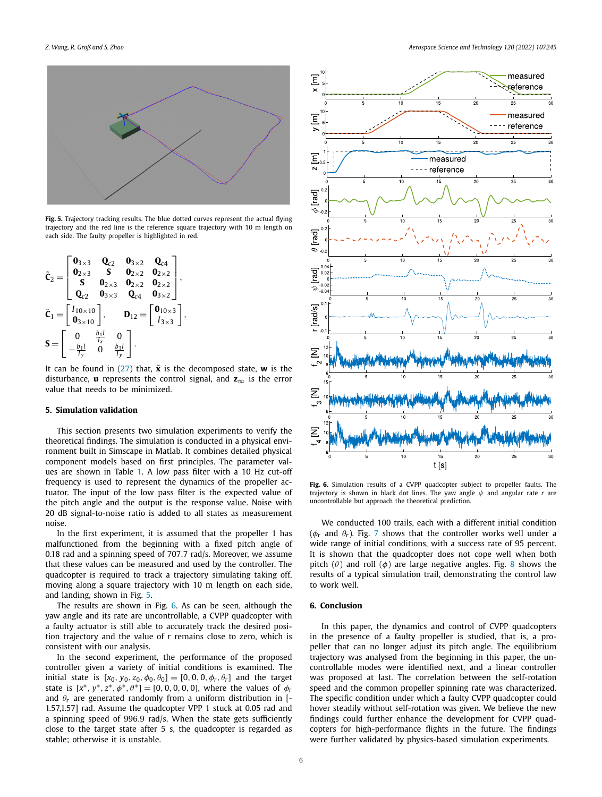

**Fig. 5.** Trajectory tracking results. The blue dotted curves represent the actual flying trajectory and the red line is the reference square trajectory with 10 m length on each side. The faulty propeller is highlighted in red.

$$
\tilde{\mathbf{C}}_2 = \begin{bmatrix}\n\mathbf{0}_{3\times 3} & \mathbf{Q}_{c2} & \mathbf{0}_{3\times 2} & \mathbf{Q}_{c4} \\
\mathbf{0}_{2\times 3} & \mathbf{S} & \mathbf{0}_{2\times 2} & \mathbf{0}_{2\times 2} \\
\mathbf{S} & \mathbf{0}_{2\times 3} & \mathbf{0}_{2\times 2} & \mathbf{0}_{2\times 2} \\
\mathbf{Q}_{c2} & \mathbf{0}_{3\times 3} & \mathbf{Q}_{c4} & \mathbf{0}_{3\times 2}\n\end{bmatrix},
$$
\n
$$
\tilde{\mathbf{C}}_1 = \begin{bmatrix}\nI_{10\times 10} \\
\mathbf{0}_{3\times 10} \\
\mathbf{0}_{3\times 10}\n\end{bmatrix}, \qquad \mathbf{D}_{12} = \begin{bmatrix}\n\mathbf{0}_{10\times 3} \\
I_{3\times 3}\n\end{bmatrix},
$$
\n
$$
\mathbf{S} = \begin{bmatrix}\n0 & \frac{b_1 l}{I_x} & 0 \\
-\frac{b_1 l}{I_y} & 0 & \frac{b_1 l}{I_y}\n\end{bmatrix}.
$$

It can be found in [\(27](#page-4-0)) that,  $\tilde{\mathbf{x}}$  is the decomposed state, **w** is the disturbance, **u** represents the control signal, and **z**<sup>∞</sup> is the error value that needs to be minimized.

### **5. Simulation validation**

This section presents two simulation experiments to verify the theoretical findings. The simulation is conducted in a physical environment built in Simscape in Matlab. It combines detailed physical component models based on first principles. The parameter values are shown in Table [1.](#page-2-0) A low pass filter with a 10 Hz cut-off frequency is used to represent the dynamics of the propeller actuator. The input of the low pass filter is the expected value of the pitch angle and the output is the response value. Noise with 20 dB signal-to-noise ratio is added to all states as measurement noise.

In the first experiment, it is assumed that the propeller 1 has malfunctioned from the beginning with a fixed pitch angle of 0.18 rad and a spinning speed of 707*.*7 rad/s. Moreover, we assume that these values can be measured and used by the controller. The quadcopter is required to track a trajectory simulating taking off, moving along a square trajectory with 10 m length on each side, and landing, shown in Fig. 5.

The results are shown in Fig. 6. As can be seen, although the yaw angle and its rate are uncontrollable, a CVPP quadcopter with a faulty actuator is still able to accurately track the desired position trajectory and the value of *r* remains close to zero, which is consistent with our analysis.

In the second experiment, the performance of the proposed controller given a variety of initial conditions is examined. The initial state is  $[x_0, y_0, z_0, \phi_0, \theta_0] = [0, 0, 0, \phi_r, \theta_r]$  and the target state is  $[x^*, y^*, z^*, \phi^*, \theta^*] = [0, 0, 0, 0, 0]$ , where the values of  $\phi_r$ and  $\theta_r$  are generated randomly from a uniform distribution in [-1.57,1.57] rad. Assume the quadcopter VPP 1 stuck at 0.05 rad and a spinning speed of 996*.*9 rad/s. When the state gets sufficiently close to the target state after 5 s, the quadcopter is regarded as stable; otherwise it is unstable.



**Fig. 6.** Simulation results of a CVPP quadcopter subject to propeller faults. The trajectory is shown in black dot lines. The yaw angle *ψ* and angular rate *r* are uncontrollable but approach the theoretical prediction.

We conducted 100 trails, each with a different initial condition ( $\phi_r$  and  $\theta_r$ ). Fig. [7](#page-6-0) shows that the controller works well under a wide range of initial conditions, with a success rate of 95 percent. It is shown that the quadcopter does not cope well when both pitch  $(\theta)$  and roll  $(\phi)$  are large negative angles. Fig. [8](#page-6-0) shows the results of a typical simulation trail, demonstrating the control law to work well.

# **6. Conclusion**

In this paper, the dynamics and control of CVPP quadcopters in the presence of a faulty propeller is studied, that is, a propeller that can no longer adjust its pitch angle. The equilibrium trajectory was analysed from the beginning in this paper, the uncontrollable modes were identified next, and a linear controller was proposed at last. The correlation between the self-rotation speed and the common propeller spinning rate was characterized. The specific condition under which a faulty CVPP quadcopter could hover steadily without self-rotation was given. We believe the new findings could further enhance the development for CVPP quadcopters for high-performance flights in the future. The findings were further validated by physics-based simulation experiments.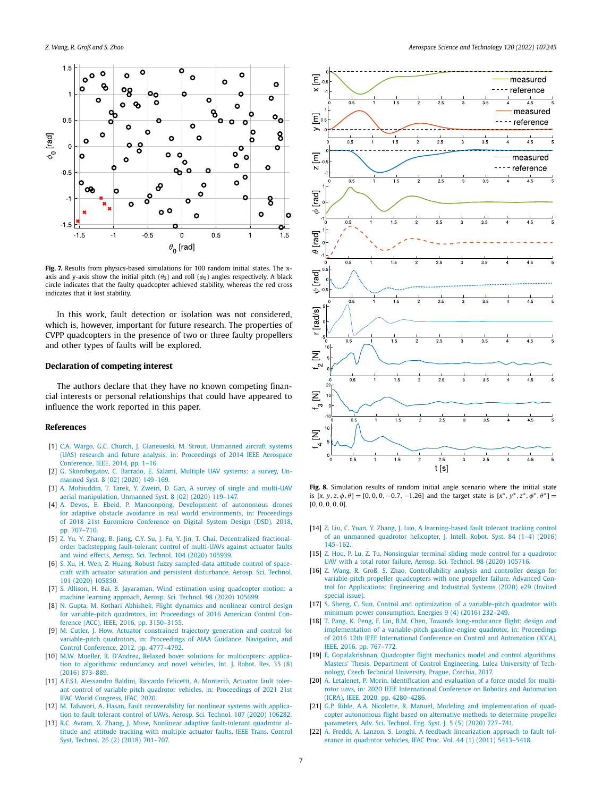<span id="page-6-0"></span>

**Fig. 7.** Results from physics-based simulations for 100 random initial states. The xaxis and y-axis show the initial pitch  $(\theta_0)$  and roll  $(\phi_0)$  angles respectively. A black circle indicates that the faulty quadcopter achieved stability, whereas the red cross indicates that it lost stability.

In this work, fault detection or isolation was not considered, which is, however, important for future research. The properties of CVPP quadcopters in the presence of two or three faulty propellers and other types of faults will be explored.

### **Declaration of competing interest**

The authors declare that they have no known competing financial interests or personal relationships that could have appeared to influence the work reported in this paper.

#### **References**

- [1] C.A. Wargo, G.C. Church, J. [Glaneueski,](http://refhub.elsevier.com/S1270-9638(21)00755-0/bib734A87E1ED561CAAEAA36F9921C986C4s1) M. Strout, Unmanned aircraft systems (UAS) research and future analysis, in: [Proceedings](http://refhub.elsevier.com/S1270-9638(21)00755-0/bib734A87E1ED561CAAEAA36F9921C986C4s1) of 2014 IEEE Aerospace [Conference,](http://refhub.elsevier.com/S1270-9638(21)00755-0/bib734A87E1ED561CAAEAA36F9921C986C4s1) IEEE, 2014, pp. 1–16.
- [2] G. [Skorobogatov,](http://refhub.elsevier.com/S1270-9638(21)00755-0/bib91099380A0D2213D76E4DD5C3561CC72s1) C. Barrado, E. Salamí, Multiple UAV systems: a survey, Unmanned Syst. 8 (02) (2020) [149–169.](http://refhub.elsevier.com/S1270-9638(21)00755-0/bib91099380A0D2213D76E4DD5C3561CC72s1)
- [3] A. [Mohiuddin,](http://refhub.elsevier.com/S1270-9638(21)00755-0/bib23131C3EAE7AAFC35F3EFE65E20EEF97s1) T. Tarek, Y. Zweiri, D. Gan, A survey of single and multi-UAV aerial [manipulation,](http://refhub.elsevier.com/S1270-9638(21)00755-0/bib23131C3EAE7AAFC35F3EFE65E20EEF97s1) Unmanned Syst. 8 (02) (2020) 119–147.
- [4] A. Devos, E. Ebeid, P. [Manoonpong,](http://refhub.elsevier.com/S1270-9638(21)00755-0/bib9A25615896D269731BED1C95784BC248s1) Development of autonomous drones for adaptive obstacle avoidance in real world [environments,](http://refhub.elsevier.com/S1270-9638(21)00755-0/bib9A25615896D269731BED1C95784BC248s1) in: Proceedings of 2018 21st Euromicro [Conference](http://refhub.elsevier.com/S1270-9638(21)00755-0/bib9A25615896D269731BED1C95784BC248s1) on Digital System Design (DSD), 2018, [pp. 707–710.](http://refhub.elsevier.com/S1270-9638(21)00755-0/bib9A25615896D269731BED1C95784BC248s1)
- [5] Z. Yu, Y. Zhang, B. Jiang, C.Y. Su, J. Fu, Y. Jin, T. Chai, [Decentralized](http://refhub.elsevier.com/S1270-9638(21)00755-0/bibC4AD6C0919DD35807C3CD411A452DE37s1) fractionalorder backstepping [fault-tolerant](http://refhub.elsevier.com/S1270-9638(21)00755-0/bibC4AD6C0919DD35807C3CD411A452DE37s1) control of multi-UAVs against actuator faults and wind effects, Aerosp. Sci. [Technol.](http://refhub.elsevier.com/S1270-9638(21)00755-0/bibC4AD6C0919DD35807C3CD411A452DE37s1) 104 (2020) 105939.
- [6] S. Xu, H. Wen, Z. Huang, Robust fuzzy [sampled-data](http://refhub.elsevier.com/S1270-9638(21)00755-0/bib6266D95E349509103262E91859CA0C18s1) attitude control of spacecraft with actuator saturation and persistent [disturbance,](http://refhub.elsevier.com/S1270-9638(21)00755-0/bib6266D95E349509103262E91859CA0C18s1) Aerosp. Sci. Technol. 101 (2020) [105850.](http://refhub.elsevier.com/S1270-9638(21)00755-0/bib6266D95E349509103262E91859CA0C18s1)
- [7] S. Allison, H. Bai, B. Jayaraman, Wind estimation using [quadcopter](http://refhub.elsevier.com/S1270-9638(21)00755-0/bib43950D6F67E3D5769BA79A609A37FFD5s1) motion: a machine learning [approach,](http://refhub.elsevier.com/S1270-9638(21)00755-0/bib43950D6F67E3D5769BA79A609A37FFD5s1) Aerosp. Sci. Technol. 98 (2020) 105699.
- [8] N. Gupta, M. Kothari [Abhishek,](http://refhub.elsevier.com/S1270-9638(21)00755-0/bib3381B52256FC38E660E67F30D0D9095Es1) Flight dynamics and nonlinear control design for [variable-pitch](http://refhub.elsevier.com/S1270-9638(21)00755-0/bib3381B52256FC38E660E67F30D0D9095Es1) quadrotors, in: Proceedings of 2016 American Control Conference (ACC), IEEE, 2016, [pp. 3150–3155.](http://refhub.elsevier.com/S1270-9638(21)00755-0/bib3381B52256FC38E660E67F30D0D9095Es1)
- [9] M. Cutler, J. How, Actuator [constrained](http://refhub.elsevier.com/S1270-9638(21)00755-0/bib25B92E75232790C0BDC15F4ACE0B9186s1) trajectory generation and control for [variable-pitch](http://refhub.elsevier.com/S1270-9638(21)00755-0/bib25B92E75232790C0BDC15F4ACE0B9186s1) quadrotors, in: Proceedings of AIAA Guidance, Navigation, and Control Conference, 2012, [pp. 4777–4792.](http://refhub.elsevier.com/S1270-9638(21)00755-0/bib25B92E75232790C0BDC15F4ACE0B9186s1)
- [10] M.W. Mueller, R. D'Andrea, Relaxed hover solutions for [multicopters:](http://refhub.elsevier.com/S1270-9638(21)00755-0/bib3DC37BC6E505D2CCC5CA4E8AD7D9BC9Es1) application to algorithmic [redundancy](http://refhub.elsevier.com/S1270-9638(21)00755-0/bib3DC37BC6E505D2CCC5CA4E8AD7D9BC9Es1) and novel vehicles, Int. J. Robot. Res. 35 (8) (2016) [873–889.](http://refhub.elsevier.com/S1270-9638(21)00755-0/bib3DC37BC6E505D2CCC5CA4E8AD7D9BC9Es1)
- [11] A.F.S.l. [Alessandro](http://refhub.elsevier.com/S1270-9638(21)00755-0/bibFB0AF0DACBB3689D14B966C08AC32A7As1) Baldini, Riccardo Felicetti, A. Monteriù, Actuator fault tolerant control of variable pitch quadrotor vehicles, in: [Proceedings](http://refhub.elsevier.com/S1270-9638(21)00755-0/bibFB0AF0DACBB3689D14B966C08AC32A7As1) of 2021 21st IFAC World [Congress,](http://refhub.elsevier.com/S1270-9638(21)00755-0/bibFB0AF0DACBB3689D14B966C08AC32A7As1) IFAC, 2020.
- [12] M. Tahavori, A. Hasan, Fault [recoverability](http://refhub.elsevier.com/S1270-9638(21)00755-0/bib59BCF14F23295B6956D86283AABEC046s1) for nonlinear systems with application to fault tolerant control of UAVs, Aerosp. Sci. [Technol.](http://refhub.elsevier.com/S1270-9638(21)00755-0/bib59BCF14F23295B6956D86283AABEC046s1) 107 (2020) 106282.
- [13] R.C. Avram, X. Zhang, J. Muse, Nonlinear adaptive [fault-tolerant](http://refhub.elsevier.com/S1270-9638(21)00755-0/bib155616392854FD01BE36E09CA6708B85s1) quadrotor altitude and attitude tracking with [multiple](http://refhub.elsevier.com/S1270-9638(21)00755-0/bib155616392854FD01BE36E09CA6708B85s1) actuator faults, IEEE Trans. Control Syst. Technol. 26 (2) (2018) [701–707.](http://refhub.elsevier.com/S1270-9638(21)00755-0/bib155616392854FD01BE36E09CA6708B85s1)



**Fig. 8.** Simulation results of random initial angle scenario where the initial state is  $[x, y, z, \phi, \theta] = [0, 0, 0, -0.7, -1.26]$  and the target state is  $[x^*, y^*, z^*, \phi^*, \theta^*] =$ [0*,* 0*,* 0*,* 0*,* 0].

- [14] Z. Liu, C. Yuan, Y. Zhang, J. Luo, A [learning-based](http://refhub.elsevier.com/S1270-9638(21)00755-0/bib80847A3AE15387DFD0DA8F1F346D4D04s1) fault tolerant tracking control of an [unmanned](http://refhub.elsevier.com/S1270-9638(21)00755-0/bib80847A3AE15387DFD0DA8F1F346D4D04s1) quadrotor helicopter, J. Intell. Robot. Syst. 84 (1–4) (2016) [145–162.](http://refhub.elsevier.com/S1270-9638(21)00755-0/bib80847A3AE15387DFD0DA8F1F346D4D04s1)
- [15] Z. Hou, P. Lu, Z. Tu, [Nonsingular](http://refhub.elsevier.com/S1270-9638(21)00755-0/bib78657F91FAA20089667496B122ABD7CBs1) terminal sliding mode control for a quadrotor UAV with a total rotor failure, Aerosp. Sci. [Technol.](http://refhub.elsevier.com/S1270-9638(21)00755-0/bib78657F91FAA20089667496B122ABD7CBs1) 98 (2020) 105716.
- [16] Z. Wang, R. Groß, S. Zhao, [Controllability](http://refhub.elsevier.com/S1270-9638(21)00755-0/bib4A097441E6F203936F955B000D9F9327s1) analysis and controller design for [variable-pitch](http://refhub.elsevier.com/S1270-9638(21)00755-0/bib4A097441E6F203936F955B000D9F9327s1) propeller quadcopters with one propeller failure, Advanced Control for [Applications:](http://refhub.elsevier.com/S1270-9638(21)00755-0/bib4A097441E6F203936F955B000D9F9327s1) Engineering and Industrial Systems (2020) e29 (Invited [special](http://refhub.elsevier.com/S1270-9638(21)00755-0/bib4A097441E6F203936F955B000D9F9327s1) issue).
- [17] S. Sheng, C. Sun, Control and optimization of a [variable-pitch](http://refhub.elsevier.com/S1270-9638(21)00755-0/bib52CD2F6D5D33E245C8C87610A10CDFBBs1) quadrotor with minimum power [consumption,](http://refhub.elsevier.com/S1270-9638(21)00755-0/bib52CD2F6D5D33E245C8C87610A10CDFBBs1) Energies 9 (4) (2016) 232–249.
- [18] T. Pang, K. Peng, F. Lin, B.M. Chen, Towards [long-endurance](http://refhub.elsevier.com/S1270-9638(21)00755-0/bib15CDC1D062DA992A3E2DF67388887FDCs1) flight: design and [implementation](http://refhub.elsevier.com/S1270-9638(21)00755-0/bib15CDC1D062DA992A3E2DF67388887FDCs1) of a variable-pitch gasoline-engine quadrotor, in: Proceedings of 2016 12th IEEE [International](http://refhub.elsevier.com/S1270-9638(21)00755-0/bib15CDC1D062DA992A3E2DF67388887FDCs1) Conference on Control and Automation (ICCA), IEEE, 2016, [pp. 767–772.](http://refhub.elsevier.com/S1270-9638(21)00755-0/bib15CDC1D062DA992A3E2DF67388887FDCs1)
- [19] E. [Gopalakrishnan,](http://refhub.elsevier.com/S1270-9638(21)00755-0/bibA7F10769933C9A219B456009EC18916Cs1) Quadcopter flight mechanics model and control algorithms, Masters' Thesis, Department of Control [Engineering,](http://refhub.elsevier.com/S1270-9638(21)00755-0/bibA7F10769933C9A219B456009EC18916Cs1) Lulea University of Technology, Czech Technical [University,](http://refhub.elsevier.com/S1270-9638(21)00755-0/bibA7F10769933C9A219B456009EC18916Cs1) Prague, Czechia, 2017.
- [20] A. Letalenet, P. Morin, [Identification](http://refhub.elsevier.com/S1270-9638(21)00755-0/bib0FAA3FB3F2384B510A3DFA84A6C9FE7As1) and evaluation of a force model for multirotor uavs, in: 2020 IEEE [International](http://refhub.elsevier.com/S1270-9638(21)00755-0/bib0FAA3FB3F2384B510A3DFA84A6C9FE7As1) Conference on Robotics and Automation (ICRA), IEEE, 2020, [pp. 4280–4286.](http://refhub.elsevier.com/S1270-9638(21)00755-0/bib0FAA3FB3F2384B510A3DFA84A6C9FE7As1)
- [21] G.P. Rible, A.A. Nicolette, R. Manuel, Modeling and [implementation](http://refhub.elsevier.com/S1270-9638(21)00755-0/bib1908B7C96B9E24E9B367BE41B3208DFBs1) of quadcopter [autonomous](http://refhub.elsevier.com/S1270-9638(21)00755-0/bib1908B7C96B9E24E9B367BE41B3208DFBs1) flight based on alternative methods to determine propeller [parameters,](http://refhub.elsevier.com/S1270-9638(21)00755-0/bib1908B7C96B9E24E9B367BE41B3208DFBs1) Adv. Sci. Technol. Eng. Syst. J. 5 (5) (2020) 727–741.
- [22] A. Freddi, A. Lanzon, S. Longhi, A feedback [linearization](http://refhub.elsevier.com/S1270-9638(21)00755-0/bib508C6E738F851552FBF6FEEC1F8C0589s1) approach to fault tolerance in quadrotor vehicles, IFAC Proc. Vol. 44 (1) (2011) [5413–5418.](http://refhub.elsevier.com/S1270-9638(21)00755-0/bib508C6E738F851552FBF6FEEC1F8C0589s1)